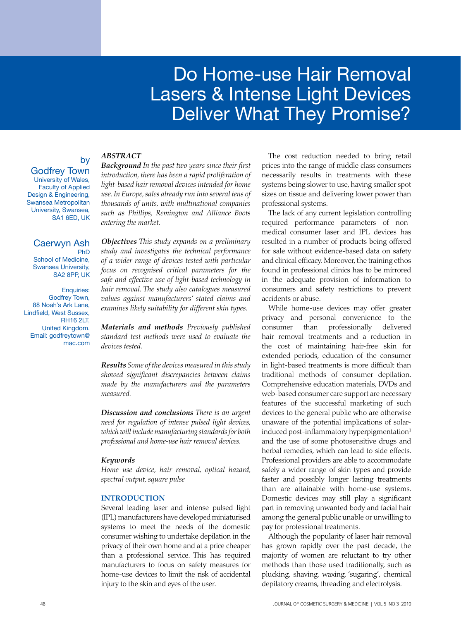# Do Home-use Hair Removal Lasers & Intense Light Devices Deliver What They Promise?

# by

Godfrey Town University of Wales, Faculty of Applied Design & Engineering, Swansea Metropolitan University, Swansea, SA1 6ED, UK

#### Caerwyn Ash PhD School of Medicine, Swansea University, SA2 8PP, UK

Enquiries: Godfrey Town, 88 Noah's Ark Lane, Lindfield, West Sussex, RH16 2LT, United Kingdom. Email: godfreytown@ mac.com

# *ABSTRACT*

*Background In the past two years since their first introduction, there has been a rapid proliferation of light-based hair removal devices intended for home use. In Europe, sales already run into several tens of thousands of units, with multinational companies such as Phillips, Remington and Alliance Boots entering the market.* 

*Objectives This study expands on a preliminary study and investigates the technical performance of a wider range of devices tested with particular focus on recognised critical parameters for the safe and effective use of light-based technology in hair removal. The study also catalogues measured values against manufacturers' stated claims and examines likely suitability for different skin types.*

*Materials and methods Previously published standard test methods were used to evaluate the devices tested.*

*Results Some of the devices measured in this study showed significant discrepancies between claims made by the manufacturers and the parameters measured.*

*Discussion and conclusions There is an urgent need for regulation of intense pulsed light devices, which will include manufacturing standards for both professional and home-use hair removal devices.*

## *Keywords*

*Home use device, hair removal, optical hazard, spectral output, square pulse*

## **INTRODUCTION**

Several leading laser and intense pulsed light (IPL) manufacturers have developed miniaturised systems to meet the needs of the domestic consumer wishing to undertake depilation in the privacy of their own home and at a price cheaper than a professional service. This has required manufacturers to focus on safety measures for home-use devices to limit the risk of accidental injury to the skin and eyes of the user.

The cost reduction needed to bring retail prices into the range of middle class consumers necessarily results in treatments with these systems being slower to use, having smaller spot sizes on tissue and delivering lower power than professional systems.

The lack of any current legislation controlling required performance parameters of nonmedical consumer laser and IPL devices has resulted in a number of products being offered for sale without evidence-based data on safety and clinical efficacy. Moreover, the training ethos found in professional clinics has to be mirrored in the adequate provision of information to consumers and safety restrictions to prevent accidents or abuse.

While home-use devices may offer greater privacy and personal convenience to the consumer than professionally delivered hair removal treatments and a reduction in the cost of maintaining hair-free skin for extended periods, education of the consumer in light-based treatments is more difficult than traditional methods of consumer depilation. Comprehensive education materials, DVDs and web-based consumer care support are necessary features of the successful marketing of such devices to the general public who are otherwise unaware of the potential implications of solarinduced post-inflammatory hyperpigmentation $1$ and the use of some photosensitive drugs and herbal remedies, which can lead to side effects. Professional providers are able to accommodate safely a wider range of skin types and provide faster and possibly longer lasting treatments than are attainable with home-use systems. Domestic devices may still play a significant part in removing unwanted body and facial hair among the general public unable or unwilling to pay for professional treatments.

Although the popularity of laser hair removal has grown rapidly over the past decade, the majority of women are reluctant to try other methods than those used traditionally, such as plucking, shaving, waxing, 'sugaring', chemical depilatory creams, threading and electrolysis.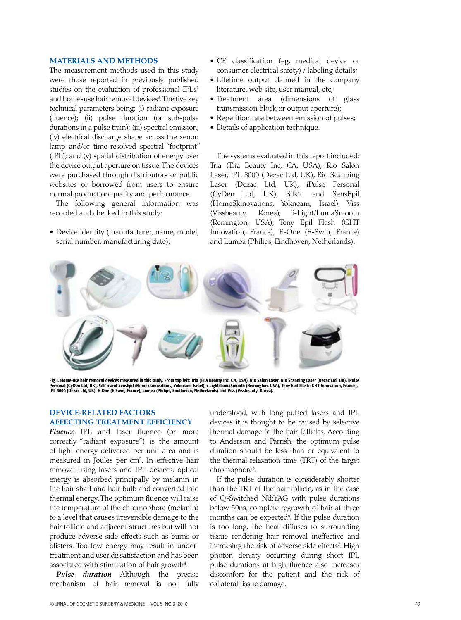#### **MATERIALS AND METHODS**

The measurement methods used in this study were those reported in previously published studies on the evaluation of professional IPLs<sup>2</sup> and home-use hair removal devices<sup>3</sup>. The five key technical parameters being: (i) radiant exposure (fluence); (ii) pulse duration (or sub-pulse durations in a pulse train); (iii) spectral emission; (iv) electrical discharge shape across the xenon lamp and/or time-resolved spectral "footprint" (IPL); and (v) spatial distribution of energy over the device output aperture on tissue. The devices were purchased through distributors or public websites or borrowed from users to ensure normal production quality and performance.

The following general information was recorded and checked in this study:

• Device identity (manufacturer, name, model, serial number, manufacturing date);

- CE classification (eg, medical device or consumer electrical safety) / labeling details;
- Lifetime output claimed in the company literature, web site, user manual, etc;
- Treatment area (dimensions of glass transmission block or output aperture);
- Repetition rate between emission of pulses;
- Details of application technique.

The systems evaluated in this report included: Tria (Tria Beauty Inc, CA, USA), Rio Salon Laser, IPL 8000 (Dezac Ltd, UK), Rio Scanning Laser (Dezac Ltd, UK), iPulse Personal (CyDen Ltd, UK), Silk'n and SensEpil (HomeSkinovations, Yokneam, Israel), Viss (Vissbeauty, Korea), i-Light/LumaSmooth (Remington, USA), Teny Epil Flash (GHT Innovation, France), E-One (E-Swin, France) and Lumea (Philips, Eindhoven, Netherlands).



Fig 1. Home-use hair removal devices measured in this study. From top left: Tria (Tria Beauty Inc, CA, USA), Ro Salon Laser, Rio Scanning Laser (Dezac Ltd, UK), iPulse<br>Personal (CyDen Ltd, UK), Silk'n and SensEpil (HomeSki

## **DEVICE-RELATED FACTORS AFFECTING TREATMENT EFFICIENCY**

*Fluence* IPL and laser fluence (or more correctly "radiant exposure") is the amount of light energy delivered per unit area and is measured in Joules per cm<sup>2</sup>. In effective hair removal using lasers and IPL devices, optical energy is absorbed principally by melanin in the hair shaft and hair bulb and converted into thermal energy. The optimum fluence will raise the temperature of the chromophore (melanin) to a level that causes irreversible damage to the hair follicle and adjacent structures but will not produce adverse side effects such as burns or blisters. Too low energy may result in undertreatment and user dissatisfaction and has been associated with stimulation of hair growth $^4$ .

*Pulse duration* Although the precise mechanism of hair removal is not fully

understood, with long-pulsed lasers and IPL devices it is thought to be caused by selective thermal damage to the hair follicles. According to Anderson and Parrish, the optimum pulse duration should be less than or equivalent to the thermal relaxation time (TRT) of the target chromophore5 .

If the pulse duration is considerably shorter than the TRT of the hair follicle, as in the case of Q-Switched Nd:YAG with pulse durations below 50ns, complete regrowth of hair at three months can be expected<sup>6</sup>. If the pulse duration is too long, the heat diffuses to surrounding tissue rendering hair removal ineffective and increasing the risk of adverse side effects<sup>7</sup>. High photon density occurring during short IPL pulse durations at high fluence also increases discomfort for the patient and the risk of collateral tissue damage.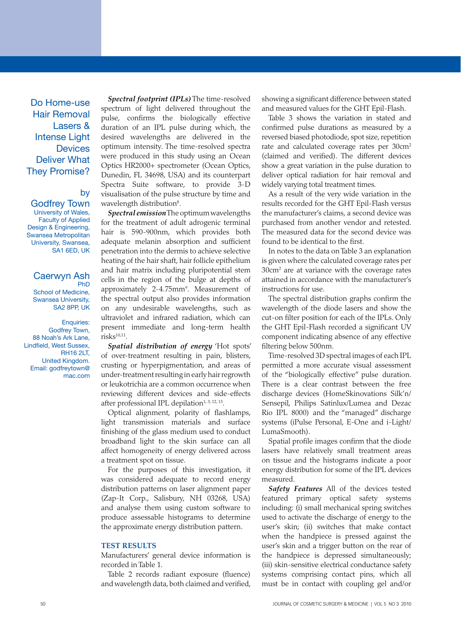Do Home-use Hair Removal Lasers & Intense Light **Devices** Deliver What They Promise?

# by

Godfrey Town University of Wales, Faculty of Applied Design & Engineering, Swansea Metropolitan University, Swansea, SA1 6ED, UK

# Caerwyn Ash

PhD School of Medicine, Swansea University, SA2 8PP, UK

Enquiries: Godfrey Town, 88 Noah's Ark Lane, Lindfield, West Sussex, RH16 2LT, United Kingdom. Email: godfreytown@ mac.com

*Spectral footprint (IPLs)* The time-resolved spectrum of light delivered throughout the pulse, confirms the biologically effective duration of an IPL pulse during which, the desired wavelengths are delivered in the optimum intensity. The time-resolved spectra were produced in this study using an Ocean Optics HR2000+ spectrometer (Ocean Optics, Dunedin, FL 34698, USA) and its counterpart Spectra Suite software, to provide 3-D visualisation of the pulse structure by time and wavelength distribution<sup>8</sup>.

*Spectral emission* The optimum wavelengths for the treatment of adult adrogenic terminal hair is 590-900nm, which provides both adequate melanin absorption and sufficient penetration into the dermis to achieve selective heating of the hair shaft, hair follicle epithelium and hair matrix including pluripotential stem cells in the region of the bulge at depths of approximately 2-4.75mm<sup>9</sup>. Measurement of the spectral output also provides information on any undesirable wavelengths, such as ultraviolet and infrared radiation, which can present immediate and long-term health  $risks^{10,11}$ .

*Spatial distribution of energy* 'Hot spots' of over-treatment resulting in pain, blisters, crusting or hyperpigmentation, and areas of under-treatment resulting in early hair regrowth or leukotrichia are a common occurrence when reviewing different devices and side-effects after professional IPL depilation<sup>1, 3, 12, 13</sup>.

Optical alignment, polarity of flashlamps, light transmission materials and surface finishing of the glass medium used to conduct broadband light to the skin surface can all affect homogeneity of energy delivered across a treatment spot on tissue.

For the purposes of this investigation, it was considered adequate to record energy distribution patterns on laser alignment paper (Zap-It Corp., Salisbury, NH 03268, USA) and analyse them using custom software to produce assessable histograms to determine the approximate energy distribution pattern.

#### **TEST RESULTS**

Manufacturers' general device information is recorded in Table 1.

Table 2 records radiant exposure (fluence) and wavelength data, both claimed and verified, showing a significant difference between stated and measured values for the GHT Epil-Flash.

Table 3 shows the variation in stated and confirmed pulse durations as measured by a reversed biased photodiode, spot size, repetition rate and calculated coverage rates per 30cm<sup>2</sup> (claimed and verified). The different devices show a great variation in the pulse duration to deliver optical radiation for hair removal and widely varying total treatment times.

As a result of the very wide variation in the results recorded for the GHT Epil-Flash versus the manufacturer's claims, a second device was purchased from another vendor and retested. The measured data for the second device was found to be identical to the first.

In notes to the data on Table 3 an explanation is given where the calculated coverage rates per 30cm2 are at variance with the coverage rates attained in accordance with the manufacturer's instructions for use.

The spectral distribution graphs confirm the wavelength of the diode lasers and show the cut-on filter position for each of the IPLs. Only the GHT Epil-Flash recorded a significant UV component indicating absence of any effective filtering below 500nm.

Time-resolved 3D spectral images of each IPL permitted a more accurate visual assessment of the "biologically effective" pulse duration. There is a clear contrast between the free discharge devices (HomeSkinovations Silk'n/ Sensepil, Philips Satinlux/Lumea and Dezac Rio IPL 8000) and the "managed" discharge systems (iPulse Personal, E-One and i-Light/ LumaSmooth).

Spatial profile images confirm that the diode lasers have relatively small treatment areas on tissue and the histograms indicate a poor energy distribution for some of the IPL devices measured.

*Safety Features* All of the devices tested featured primary optical safety systems including: (i) small mechanical spring switches used to activate the discharge of energy to the user's skin; (ii) switches that make contact when the handpiece is pressed against the user's skin and a trigger button on the rear of the handpiece is depressed simultaneously; (iii) skin-sensitive electrical conductance safety systems comprising contact pins, which all must be in contact with coupling gel and/or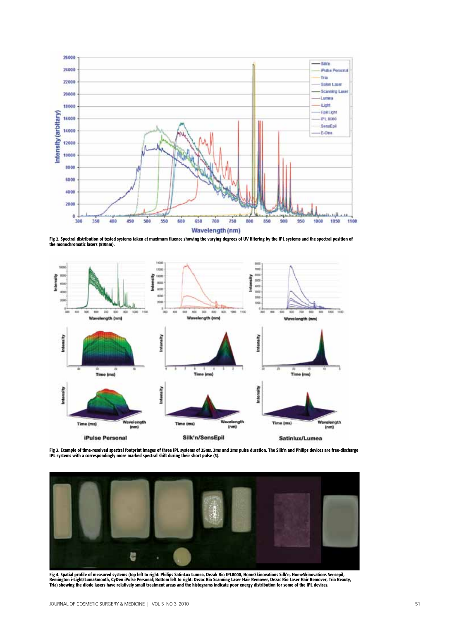

Fig 2. Spectral distribution of tested systems taken at maximum fluence showing the varying degrees of UV filtering by the IPL systems and the spectral position of the monochromatic lasers (810nm).



Fig 3. Example of time-resolved spectral footprint images of three IPL systems of 25ms, 3ms and 2ms pulse duration. The Silk'n and Philips devices are free-discharge<br>IPL systems with a correspondingly more marked spectral



Fig 4. Spatial profile of measured systems (top left to right: Philips SatinLux Lumea, Dezak Rio IPL8000, HomeSkinovations Silk'n, HomeSkinovations Sensepil, Remington i-Light/LumaSmooth, CyDen iPulse Personal; Bottom left to right: Dezac Rio Scanning Laser Hair Remover, Dezac Rio Laser Hair Remover, Tria Beauty,<br>Tria) showing the diode lasers have relatively small treatment ar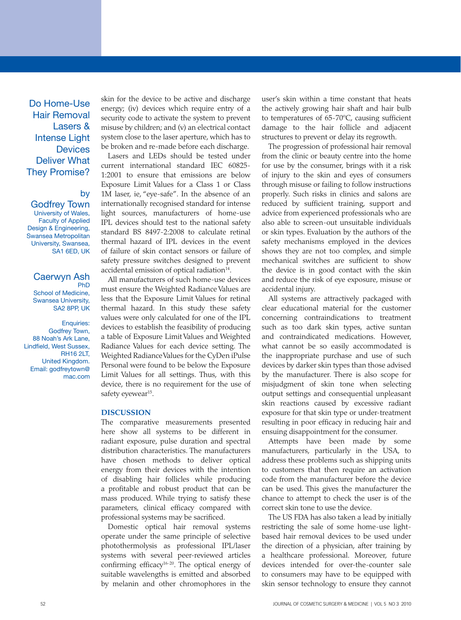Do Home-Use Hair Removal Lasers & Intense Light **Devices** Deliver What They Promise?

## by

Godfrey Town University of Wales, Faculty of Applied Design & Engineering, Swansea Metropolitan University, Swansea, SA1 6ED, UK

#### Caerwyn Ash PhD

School of Medicine, Swansea University, SA2 8PP, UK

Enquiries: Godfrey Town, 88 Noah's Ark Lane, Lindfield, West Sussex, RH16 2LT, United Kingdom. Email: godfreytown@ mac.com skin for the device to be active and discharge energy; (iv) devices which require entry of a security code to activate the system to prevent misuse by children; and (v) an electrical contact system close to the laser aperture, which has to be broken and re-made before each discharge.

Lasers and LEDs should be tested under current international standard IEC 60825- 1:2001 to ensure that emissions are below Exposure Limit Values for a Class 1 or Class 1M laser, ie, "eye-safe". In the absence of an internationally recognised standard for intense light sources, manufacturers of home-use IPL devices should test to the national safety standard BS 8497-2:2008 to calculate retinal thermal hazard of IPL devices in the event of failure of skin contact sensors or failure of safety pressure switches designed to prevent accidental emission of optical radiation<sup>14</sup>.

All manufacturers of such home-use devices must ensure the Weighted Radiance Values are less that the Exposure Limit Values for retinal thermal hazard. In this study these safety values were only calculated for one of the IPL devices to establish the feasibility of producing a table of Exposure Limit Values and Weighted Radiance Values for each device setting. The Weighted Radiance Values for the CyDen iPulse Personal were found to be below the Exposure Limit Values for all settings. Thus, with this device, there is no requirement for the use of safety eyewear<sup>15</sup>.

#### **DISCUSSION**

The comparative measurements presented here show all systems to be different in radiant exposure, pulse duration and spectral distribution characteristics. The manufacturers have chosen methods to deliver optical energy from their devices with the intention of disabling hair follicles while producing a profitable and robust product that can be mass produced. While trying to satisfy these parameters, clinical efficacy compared with professional systems may be sacrificed.

Domestic optical hair removal systems operate under the same principle of selective photothermolysis as professional IPL/laser systems with several peer-reviewed articles confirming efficacy<sup>16-20</sup>. The optical energy of suitable wavelengths is emitted and absorbed by melanin and other chromophores in the

user's skin within a time constant that heats the actively growing hair shaft and hair bulb to temperatures of 65-70ºC, causing sufficient damage to the hair follicle and adjacent structures to prevent or delay its regrowth.

The progression of professional hair removal from the clinic or beauty centre into the home for use by the consumer, brings with it a risk of injury to the skin and eyes of consumers through misuse or failing to follow instructions properly. Such risks in clinics and salons are reduced by sufficient training, support and advice from experienced professionals who are also able to screen-out unsuitable individuals or skin types. Evaluation by the authors of the safety mechanisms employed in the devices shows they are not too complex, and simple mechanical switches are sufficient to show the device is in good contact with the skin and reduce the risk of eye exposure, misuse or accidental injury.

All systems are attractively packaged with clear educational material for the customer concerning contraindications to treatment such as too dark skin types, active suntan and contraindicated medications. However, what cannot be so easily accommodated is the inappropriate purchase and use of such devices by darker skin types than those advised by the manufacturer. There is also scope for misjudgment of skin tone when selecting output settings and consequential unpleasant skin reactions caused by excessive radiant exposure for that skin type or under-treatment resulting in poor efficacy in reducing hair and ensuing disappointment for the consumer.

Attempts have been made by some manufacturers, particularly in the USA, to address these problems such as shipping units to customers that then require an activation code from the manufacturer before the device can be used. This gives the manufacturer the chance to attempt to check the user is of the correct skin tone to use the device.

The US FDA has also taken a lead by initially restricting the sale of some home-use lightbased hair removal devices to be used under the direction of a physician, after training by a healthcare professional. Moreover, future devices intended for over-the-counter sale to consumers may have to be equipped with skin sensor technology to ensure they cannot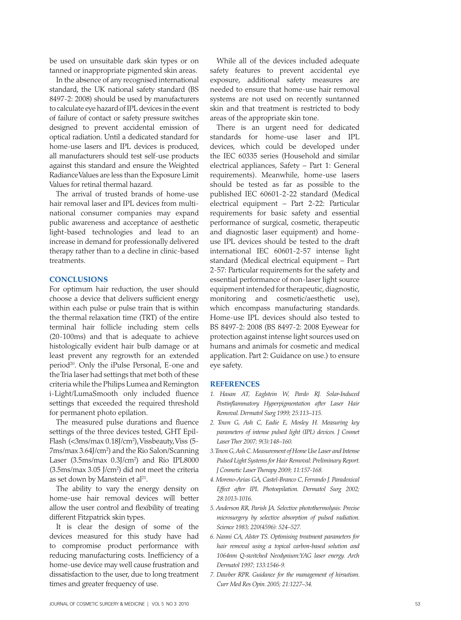be used on unsuitable dark skin types or on tanned or inappropriate pigmented skin areas.

In the absence of any recognised international standard, the UK national safety standard (BS 8497-2: 2008) should be used by manufacturers to calculate eye hazard of IPL devices in the event of failure of contact or safety pressure switches designed to prevent accidental emission of optical radiation. Until a dedicated standard for home-use lasers and IPL devices is produced, all manufacturers should test self-use products against this standard and ensure the Weighted Radiance Values are less than the Exposure Limit Values for retinal thermal hazard.

The arrival of trusted brands of home-use hair removal laser and IPL devices from multinational consumer companies may expand public awareness and acceptance of aesthetic light-based technologies and lead to an increase in demand for professionally delivered therapy rather than to a decline in clinic-based treatments.

#### **CONCLUSIONS**

For optimum hair reduction, the user should choose a device that delivers sufficient energy within each pulse or pulse train that is within the thermal relaxation time (TRT) of the entire terminal hair follicle including stem cells (20-100ms) and that is adequate to achieve histologically evident hair bulb damage or at least prevent any regrowth for an extended period<sup>20</sup>. Only the iPulse Personal, E-one and the Tria laser had settings that met both of these criteria while the Philips Lumea and Remington i-Light/LumaSmooth only included fluence settings that exceeded the required threshold for permanent photo epilation.

The measured pulse durations and fluence settings of the three devices tested, GHT Epil-Flash (<3ms/max 0.18J/cm2 ), Vissbeauty, Viss (5- 7ms/max 3.64J/cm2 ) and the Rio Salon/Scanning Laser (3.5ms/max 0.3J/cm2 ) and Rio IPL8000 (3.5ms/max 3.05 J/cm2 ) did not meet the criteria as set down by Manstein et al<sup>21</sup>.

The ability to vary the energy density on home-use hair removal devices will better allow the user control and flexibility of treating different Fitzpatrick skin types.

It is clear the design of some of the devices measured for this study have had to compromise product performance with reducing manufacturing costs. Inefficiency of a home-use device may well cause frustration and dissatisfaction to the user, due to long treatment times and greater frequency of use.

While all of the devices included adequate safety features to prevent accidental eye exposure, additional safety measures are needed to ensure that home-use hair removal systems are not used on recently suntanned skin and that treatment is restricted to body areas of the appropriate skin tone.

There is an urgent need for dedicated standards for home-use laser and IPL devices, which could be developed under the IEC 60335 series (Household and similar electrical appliances, Safety – Part 1: General requirements). Meanwhile, home-use lasers should be tested as far as possible to the published IEC 60601-2-22 standard (Medical electrical equipment – Part 2-22: Particular requirements for basic safety and essential performance of surgical, cosmetic, therapeutic and diagnostic laser equipment) and homeuse IPL devices should be tested to the draft international IEC 60601-2-57 intense light standard (Medical electrical equipment – Part 2-57: Particular requirements for the safety and essential performance of non-laser light source equipment intended for therapeutic, diagnostic, monitoring and cosmetic/aesthetic use), which encompass manufacturing standards. Home-use IPL devices should also tested to BS 8497-2: 2008 (BS 8497-2: 2008 Eyewear for protection against intense light sources used on humans and animals for cosmetic and medical application. Part 2: Guidance on use.) to ensure eye safety.

#### **REFERENCES**

- *1. Hasan AT, Eaglstein W, Pardo RJ. Solar-Induced Postinflammatory Hyperpigmentation after Laser Hair Removal. Dermatol Surg 1999; 25:113–115.*
- *2. Town G, Ash C, Eadie E, Mosley H. Measuring key parameters of intense pulsed light (IPL) devices. J Cosmet Laser Ther 2007; 9(3):148–160.*
- *3. Town G, Ash C. Measurement of Home Use Laser and Intense Pulsed Light Systems for Hair Removal: Preliminary Report. J Cosmetic Laser Therapy 2009; 11:157-168.*
- *4. Moreno-Arias GA, Castel-Branco C, Ferrando J. Paradoxical Effect after IPL Photoepilation. Dermatol Surg 2002; 28:1013-1016.*
- *5. Anderson RR, Parish JA. Selective photothermolysis: Precise microsurgery by selective absorption of pulsed radiation. Science 1983; 220(4596): 524–527.*
- *6. Nanni CA, Alster TS. Optimising treatment parameters for hair removal using a topical carbon-based solution and 1064nm Q-switched Neodynium:YAG laser energy. Arch Dermatol 1997; 133:1546-9.*
- *7. Dawber RPR. Guidance for the management of hirsutism. Curr Med Res Opin. 2005; 21:1227–34.*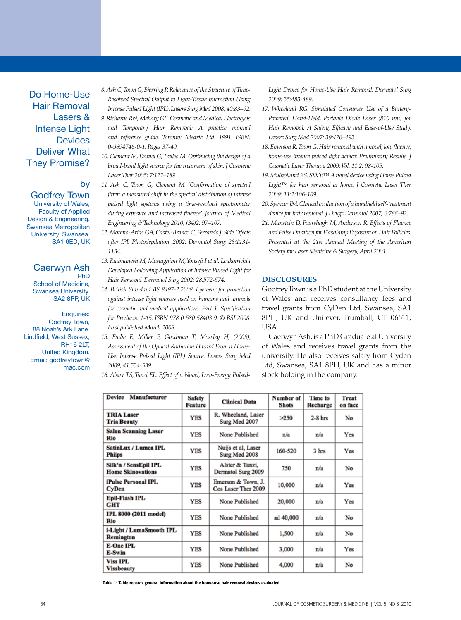Do Home-Use Hair Removal Lasers & Intense Light **Devices** Deliver What They Promise?

## by

Godfrey Town University of Wales, Faculty of Applied Design & Engineering, Swansea Metropolitan University, Swansea, SA1 6ED, UK

#### Caerwyn Ash PhD

School of Medicine, Swansea University, SA2 8PP, UK

Enquiries: Godfrey Town, 88 Noah's Ark Lane, Lindfield, West Sussex, RH16 2LT, United Kingdom. Email: godfreytown@ mac.com

- *8. Ash C, Town G, Bjerring P. Relevance of the Structure of Time-Resolved Spectral Output to Light-Tissue Interaction Using Intense Pulsed Light (IPL). Lasers Surg Med 2008; 40:83–92.*
- *9. Richards RN, Meharg GE. Cosmetic and Medical Electrolysis and Temporary Hair Removal: A practice manual and reference guide. Toronto: Medric Ltd. 1991. ISBN: 0-9694746-0-1. Pages 37-40.*
- *10. Clement M, Daniel G, Trelles M. Optimising the design of a broad-band light source for the treatment of skin. J Cosmetic Laser Ther 2005; 7:177–189.*
- *11 Ash C, Town G, Clement M. 'Confirmation of spectral jitter: a measured shift in the spectral distribution of intense pulsed light systems using a time-resolved spectrometer during exposure and increased fluence'. Journal of Medical Engineering & Technology 2010; (34)2: 97–107.*
- *12. Moreno-Arias GA, Castel-Branco C, Ferrando J. Side Effects after IPL Photodepilation. 2002: Dermatol Surg; 28:1131- 1134.*
- *13. Radmanesh M, Mostaghimi M, Yousefi I et al. Leukotrichia Developed Following Application of Intense Pulsed Light for Hair Removal. Dermatol Surg 2002; 28:572-574.*
- *14. British Standard BS 8497-2:2008. Eyewear for protection against intense light sources used on humans and animals for cosmetic and medical applications. Part 1: Specification for Products: 1-15. ISBN 978 0 580 58403 9. © BSI 2008. First published March 2008.*
- *15. Eadie E, Miller P, Goodman T, Moseley H, (2009), Assessment of the Optical Radiation Hazard From a Home-Use Intense Pulsed Light (IPL) Source. Lasers Surg Med 2009; 41:534-539.*

*16. Alster TS, Tanzi EL. Effect of a Novel, Low-Energy Pulsed-*

*Light Device for Home-Use Hair Removal. Dermatol Surg 2009; 35:483-489.*

- *17. Wheeland RG. Simulated Consumer Use of a Battery-Powered, Hand-Held, Portable Diode Laser (810 nm) for Hair Removal: A Safety, Efficacy and Ease-of-Use Study. Lasers Surg Med 2007: 39:476–493.*
- *18. Emerson R, Town G. Hair removal with a novel, low fluence, home-use intense pulsed light device: Preliminary Results. J Cosmetic Laser Therapy 2009; Vol. 11:2: 98-105.*
- *19. Mulholland RS. Silk'n™ A novel device using Home Pulsed Light™ for hair removal at home. J Cosmetic Laser Ther 2009; 11:2:106-109.*
- *20. Spencer JM. Clinical evaluation of a handheld self-treatment device for hair removal. J Drugs Dermatol 2007; 6:788–92.*
- *21. Manstein D, Pourshagh M, Anderson R. Effects of Fluence and Pulse Duration for Flashlamp Exposure on Hair Follicles. Presented at the 21st Annual Meeting of the American Society for Laser Medicine & Surgery, April 2001*

#### **Disclosures**

Godfrey Town is a PhD student at the University of Wales and receives consultancy fees and travel grants from CyDen Ltd, Swansea, SA1 8PH, UK and Unilever, Trumball, CT 06611, USA.

Caerwyn Ash, is a PhD Graduate at University of Wales and receives travel grants from the university. He also receives salary from Cyden Ltd, Swansea, SA1 8PH, UK and has a minor stock holding in the company.

| <b>Device</b><br>Manufacturer                     | <b>Safety</b><br><b>Feature</b> | <b>Clinical Data</b>                      | Number of<br><b>Shots</b> | Time to<br>Recharge | <b>Treat</b><br>on face |
|---------------------------------------------------|---------------------------------|-------------------------------------------|---------------------------|---------------------|-------------------------|
| <b>TRIA Laser</b><br><b>Tria Beauty</b>           | <b>YES</b>                      | R. Wheeland, Laser<br>Surg Med 2007       | >250                      | $2-8$ hrs           | No                      |
| <b>Salon Scanning Laser</b><br>Rio                | <b>YES</b>                      | None Published                            | n/a                       | n/a                 | Yes                     |
| SatinLux / Lumea IPL<br><b>Phiips</b>             | <b>YES</b>                      | Nuijs et al, Laser<br>Surg Med 2008       | 160-520                   | 3 hrs               | Yes                     |
| Silk'n / SensEpil IPL<br><b>Home Skinovations</b> | <b>YES</b>                      | Alster & Tanzi,<br>Dermatol Surg 2009     | 750                       | n/a                 | No                      |
| <b>iPulse Personal IPL</b><br>CyDen               | <b>YES</b>                      | Emerson & Town, J.<br>Cos Laser Ther 2009 | 10,000                    | n/a                 | Yes                     |
| <b>Epil-Flash IPL</b><br>GHT                      | YES                             | None Published                            | 20,000                    | n/a                 | Yes                     |
| IPL 8000 (2011 model)<br>Rio                      | <b>YES</b>                      | None Published                            | ad 40,000                 | n/a                 | No                      |
| i-Light / LumaSmooth IPL<br>Remington             | <b>YES</b>                      | None Published                            | 1,500                     | n/a                 | No                      |
| <b>E-One IPL</b><br>E-Swin                        | YES                             | None Published                            | 3,000                     | n/a                 | Yes                     |
| <b>Viss IPL</b><br><b>Vissbeauty</b>              | YES                             | None Published                            | 4,000                     | n/a                 | No                      |

Table 1: Table records general information about the home-use hair removal devices evaluated.